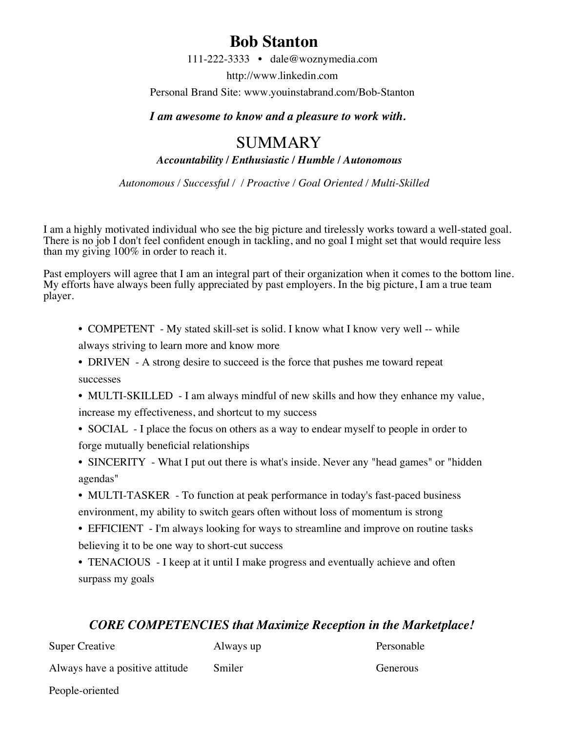# **Bob Stanton**

111-222-3333 • dale@woznymedia.com

http://www.linkedin.com

Personal Brand Site: www.youinstabrand.com/Bob-Stanton

*I am awesome to know and a pleasure to work with.*

# **SUMMARY**

*Accountability / Enthusiastic / Humble / Autonomous*

*Autonomous / Successful / / Proactive / Goal Oriented / Multi-Skilled*

I am a highly motivated individual who see the big picture and tirelessly works toward a well-stated goal. There is no job I don't feel confident enough in tackling, and no goal I might set that would require less than my giving 100% in order to reach it.

Past employers will agree that I am an integral part of their organization when it comes to the bottom line. My efforts have always been fully appreciated by past employers. In the big picture, I am a true team player.

• COMPETENT - My stated skill-set is solid. I know what I know very well -- while always striving to learn more and know more

• DRIVEN - A strong desire to succeed is the force that pushes me toward repeat

successes

• MULTI-SKILLED - I am always mindful of new skills and how they enhance my value, increase my effectiveness, and shortcut to my success

- SOCIAL I place the focus on others as a way to endear myself to people in order to forge mutually beneficial relationships
- SINCERITY What I put out there is what's inside. Never any "head games" or "hidden agendas"
- MULTI-TASKER To function at peak performance in today's fast-paced business environment, my ability to switch gears often without loss of momentum is strong
- EFFICIENT I'm always looking for ways to streamline and improve on routine tasks believing it to be one way to short-cut success

• TENACIOUS - I keep at it until I make progress and eventually achieve and often surpass my goals

### *CORE COMPETENCIES that Maximize Reception in the Marketplace!*

| Super Creative                  | Always up | Personable |
|---------------------------------|-----------|------------|
| Always have a positive attitude | Smiler    | Generous   |

People-oriented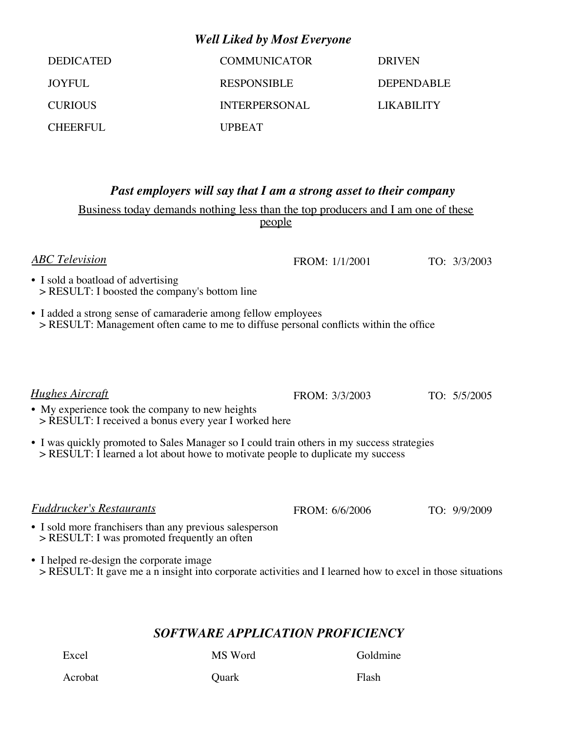### *Well Liked by Most Everyone*

| <b>DEDICATED</b> | <b>COMMUNICATOR</b>  | <b>DRIVEN</b>     |
|------------------|----------------------|-------------------|
| <b>JOYFUL</b>    | <b>RESPONSIBLE</b>   | <b>DEPENDABLE</b> |
| <b>CURIOUS</b>   | <b>INTERPERSONAL</b> | <b>LIKABILITY</b> |
| <b>CHEERFUL</b>  | <b>UPREAT</b>        |                   |

#### *Past employers will say that I am a strong asset to their company*

Business today demands nothing less than the top producers and I am one of these people

*ABC Television* FROM: 1/1/2001 TO: 3/3/2003 • I sold a boatload of advertising

- > RESULT: I boosted the company's bottom line
- I added a strong sense of camaraderie among fellow employees > RESULT: Management often came to me to diffuse personal conflicts within the office

*Hughes Aircraft* FROM: 3/3/2003 TO: 5/5/2005 • My experience took the company to new heights > RESULT: I received a bonus every year I worked here • I was quickly promoted to Sales Manager so I could train others in my success strategies

> RESULT: I learned a lot about howe to motivate people to duplicate my success

*Fuddrucker's Restaurants* FROM: 6/6/2006 TO: 9/9/2009 • I sold more franchisers than any previous salesperson > RESULT: I was promoted frequently an often

• I helped re-design the corporate image > RESULT: It gave me a n insight into corporate activities and I learned how to excel in those situations

### *SOFTWARE APPLICATION PROFICIENCY*

MS Word Goldmine

Excel Acrobat

Quark

Flash